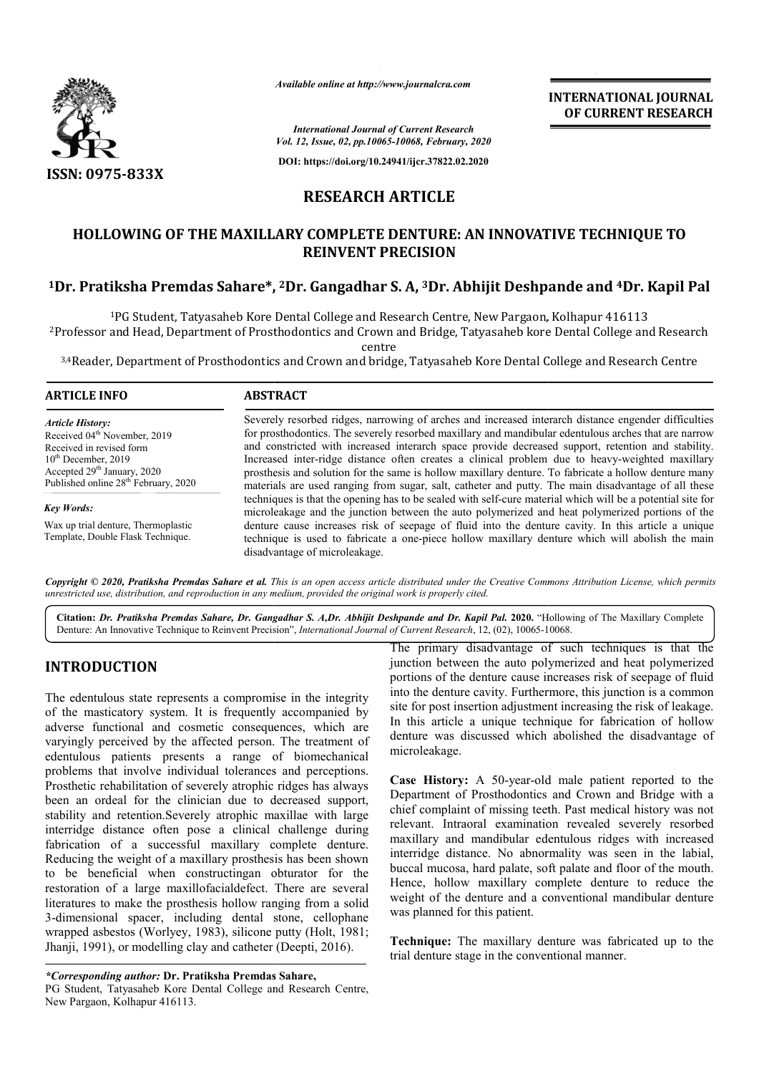

*Available online at http://www.journalcra.com*

**INTERNATIONAL JOURNAL OF CURRENT RESEARCH**

*International Journal of Current Research Vol. 12, Issue, 02, pp.10065-10068, February, 2020*

**DOI: https://doi.org/10.24941/ijcr.37822.02.2020**

# **RESEARCH ARTICLE**

## **HOLLOWING OF THE MAXILLARY COMPLETE DENTURE: AN INNOVATIVE TECHNIQUE TO REINVENT PRECISION**

# **1Dr. Pratiksha Premdas Sahare\*, Dr. 2Dr. Gangadhar S. A, 3Dr. Abhijit Deshpande Dr. Abhijit Deshpande and 4Dr. Kapil Pal**

<sup>1</sup>PG Student, Tatyasaheb Kore Dental College and Research Centre, New Pargaon, Kolhapur 416113 2Professor and Head, Department of Prosthodontics and Crown and Bridge, Tatyasaheb kore Dental College Professor centre 1t, Tatyasaheb Kore Dental College and Research Centre, New Pargaon, Kolhapur 416113<br>Department of Prosthodontics and Crown and Bridge, Tatyasaheb kore Dental College and Research

 $^{3,4}$ Reader, Department of Prosthodontics and Crown and bridge, Tatyasaheb Kore Dental College and Research Centre

### **ARTICLE INFO ABSTRACT**

*Key Words:*

*Article History:* Received 04<sup>th</sup> November, 2019 Received in revised form 10<sup>th</sup> December, 2019  $\frac{1}{2}$  Accepted 29<sup>th</sup> January, 2020 Published online 28<sup>th</sup> February, 2020

Wax up trial denture, Thermoplastic Template, Double Flask Technique.

Severely resorbed ridges, narrowing of arches and increased interarch distance engender difficulties for prosthodontics. The severely resorbed maxillary and mandibular edentulous arches that are narrow and constricted with increased interarch space provide decreased support, retention and stability. Increased inter-ridge distance often creates a clinical problem due to heavy-weighted maxillary prosthesis and solution for the same is hollow maxillary denture. To fabricate a hollow denture many materials are used ranging from sugar, salt, catheter and putty. The main disadvantage of all these techniques is that the opening has to be sealed with self self-cure material which will be a potential site for microleakage and the junction between the auto polymerized and heat polymerized portions of the denture cause increases risk of seepage of fluid into the denture cavity. In this article a unique denture cause increases risk of seepage of fluid into the denture cavity. In this article a unique technique is used to fabricate a one-piece hollow maxillary denture which will abolish the main disadvantage of microleakage. Severely resorbed ridges, narrowing of arches and increased interarch distance engender difficulties<br>for prosthodontics. The severely resorbed maxillary and mandibular edentulous arches that are narrow<br>and constricted with

Copyright © 2020, Pratiksha Premdas Sahare et al. This is an open access article distributed under the Creative Commons Attribution License, which permits *unrestricted use, distribution, and reproduction in any medium, provided the original work is properly cited.*

Citation: *Dr. Pratiksha Premdas Sahare, Dr. Gangadhar S. A,Dr. Abhijit Deshpande and Dr. Kapil Pal. 2020. "Hollowing of The Maxillary Complete<br>Denture: An Innovative Technique to Reinvent Precision", <i>International Journa* Denture: An Innovative Technique to Reinvent Precision", *International Journal of Current Research*, 12, (02), 10065-10068

# **INTRODUCTION**

The edentulous state represents a compromise in the integrity of the masticatory system. It is frequently accompanied by adverse functional and cosmetic consequences, which are varyingly perceived by the affected person. The treatment of edentulous patients presents a range of biomechanical problems that involve individual tolerances and perceptions. Prosthetic rehabilitation of severely atrophic ridges has always been an ordeal for the clinician due to decreased support, stability and retention.Severely atrophic maxillae with large interridge distance often pose a clinical challenge during fabrication of a successful maxillary complete denture. Reducing the weight of a maxillary prosthesis has been shown to be beneficial when constructingan obturator for the restoration of a large maxillofacialdefect. There are several literatures to make the prosthesis hollow ranging from a solid 3-dimensional spacer, including dental stone, cellophane wrapped asbestos (Worlyey, 1983), silicone putty (Holt, 1981; Jhanji, 1991), or modelling clay and catheter (Deepti, 2016). e weight of a maxillary prosthesis has been shown<br>eficial when constructingan obturator for the<br>of a large maxillofacial<br>defect. There are several<br>omake the prosthesis hollow ranging from a solid<br>aal spacer, including dent

The primary disadvantage of such techniques is that the junction between the auto polymerized and heat polymerized portions of the denture cause increases risk of seepage of fluid into the denture cavity. Furthermore, this junction is a common site for post insertion adjustment increasing the risk of leakage. In this article a unique technique for fabrication of hollow denture was discussed which abolished the disadvantage of microleakage. in junction between the auto polymerized and heat polymerized<br>portions of the denture cause increases risk of seepage of fluid<br>into the denture cavity. Furthermore, this junction is a common<br>site for post insertion adjustm

**Case History:** A 50-year-old male patient reported to the Department of Prosthodontics and Crown and Bridge with a chief complaint of missing teeth. Past medical history was not relevant. Intraoral examination revealed severely resorbed maxillary and mandibular edentulous ridges with increased interridge distance. No abnormality was seen in the labial, buccal mucosa, hard palate, soft palate and floor of the mouth. Hence, hollow maxillary complete denture to reduce the weight of the denture and a conventional mandibular denture was planned for this patient. buccal mucosa, hard palate, soft palate and floor of the mouth.<br>Hence, hollow maxillary complete denture to reduce the<br>weight of the denture and a conventional mandibular denture in the 

**Technique:** The maxillary denture was fabricated up to the trial denture stage in the conventional manner.

*<sup>\*</sup>Corresponding author:* **Dr. Pratiksha Premdas Sahare Sahare,** PG Student, Tatyasaheb Kore Dental College and Research Centre, New Pargaon, Kolhapur 416113.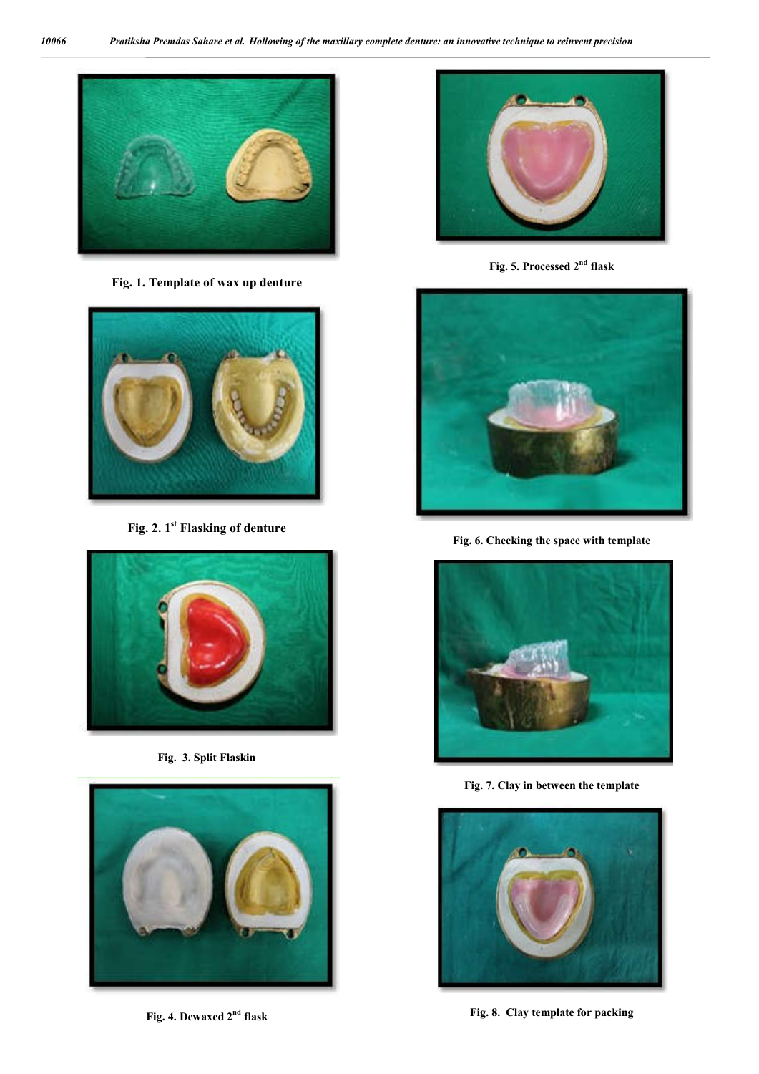

**Fig. 1. Template of wax up denture**



**Fig. 2. 1st Flasking of denture**



**Fig. 3. Split Flaskin**



**Fig. 4. Dewaxed 2nd flask**



**Fig. 5. Processed 2nd flask**



**Fig. 6. Checking the space with template**



**Fig. 7. Clay in between the template**



**Fig. 8. Clay template for packing**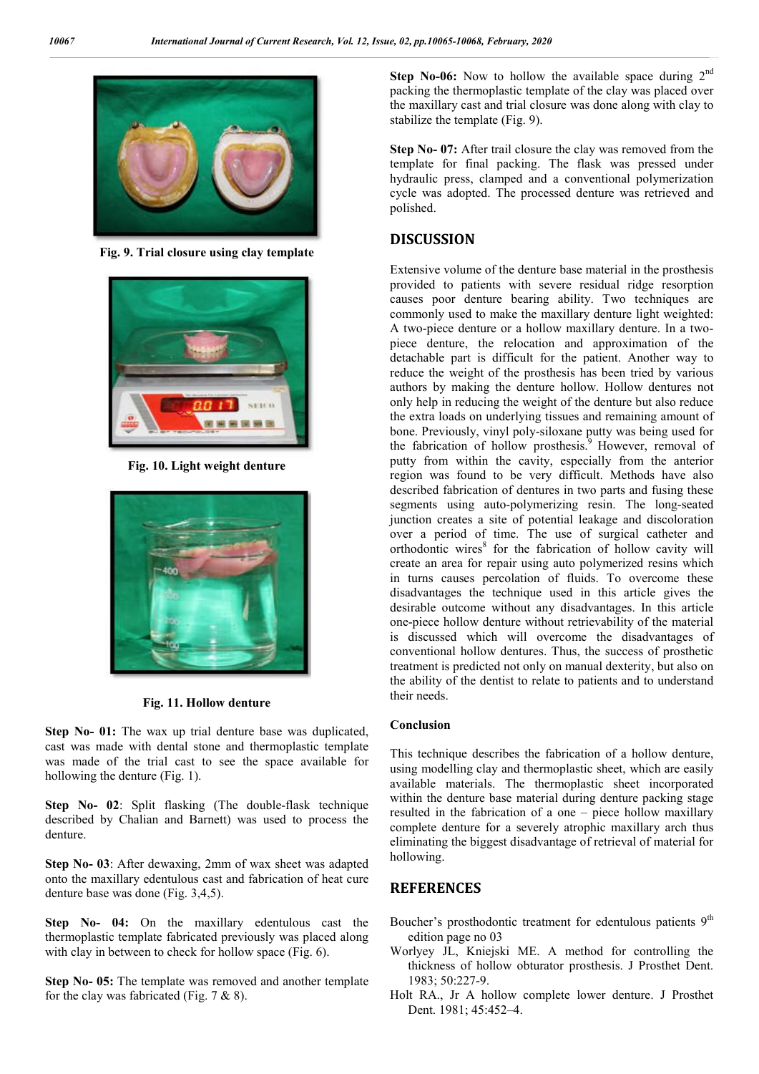

**Fig. 9. Trial closure using clay template**



**Fig. 10. Light weight denture**



**Fig. 11. Hollow denture**

**Step No- 01:** The wax up trial denture base was duplicated, cast was made with dental stone and thermoplastic template was made of the trial cast to see the space available for hollowing the denture (Fig. 1).

**Step No- 02**: Split flasking (The double-flask technique described by Chalian and Barnett) was used to process the denture.

**Step No- 03**: After dewaxing, 2mm of wax sheet was adapted onto the maxillary edentulous cast and fabrication of heat cure denture base was done (Fig. 3,4,5).

**Step No- 04:** On the maxillary edentulous cast the thermoplastic template fabricated previously was placed along with clay in between to check for hollow space (Fig. 6).

**Step No- 05:** The template was removed and another template for the clay was fabricated (Fig. 7 & 8).

**Step No-06:** Now to hollow the available space during 2<sup>nd</sup> packing the thermoplastic template of the clay was placed over the maxillary cast and trial closure was done along with clay to stabilize the template (Fig. 9).

**Step No- 07:** After trail closure the clay was removed from the template for final packing. The flask was pressed under hydraulic press, clamped and a conventional polymerization cycle was adopted. The processed denture was retrieved and polished.

## **DISCUSSION**

Extensive volume of the denture base material in the prosthesis provided to patients with severe residual ridge resorption causes poor denture bearing ability. Two techniques are commonly used to make the maxillary denture light weighted: A two-piece denture or a hollow maxillary denture. In a twopiece denture, the relocation and approximation of the detachable part is difficult for the patient. Another way to reduce the weight of the prosthesis has been tried by various authors by making the denture hollow. Hollow dentures not only help in reducing the weight of the denture but also reduce the extra loads on underlying tissues and remaining amount of bone. Previously, vinyl poly-siloxane putty was being used for the fabrication of hollow prosthesis.<sup>9</sup> However, removal of putty from within the cavity, especially from the anterior region was found to be very difficult. Methods have also described fabrication of dentures in two parts and fusing these segments using auto-polymerizing resin. The long-seated junction creates a site of potential leakage and discoloration over a period of time. The use of surgical catheter and orthodontic wires<sup>8</sup> for the fabrication of hollow cavity will create an area for repair using auto polymerized resins which in turns causes percolation of fluids. To overcome these disadvantages the technique used in this article gives the desirable outcome without any disadvantages. In this article one-piece hollow denture without retrievability of the material is discussed which will overcome the disadvantages of conventional hollow dentures. Thus, the success of prosthetic treatment is predicted not only on manual dexterity, but also on the ability of the dentist to relate to patients and to understand their needs.

### **Conclusion**

This technique describes the fabrication of a hollow denture, using modelling clay and thermoplastic sheet, which are easily available materials. The thermoplastic sheet incorporated within the denture base material during denture packing stage resulted in the fabrication of a one – piece hollow maxillary complete denture for a severely atrophic maxillary arch thus eliminating the biggest disadvantage of retrieval of material for hollowing.

## **REFERENCES**

- Boucher's prosthodontic treatment for edentulous patients 9<sup>th</sup> edition page no 03
- Worlyey JL, Kniejski ME. A method for controlling the thickness of hollow obturator prosthesis. J Prosthet Dent. 1983; 50:227-9.
- Holt RA., Jr A hollow complete lower denture. J Prosthet Dent. 1981; 45:452–4.